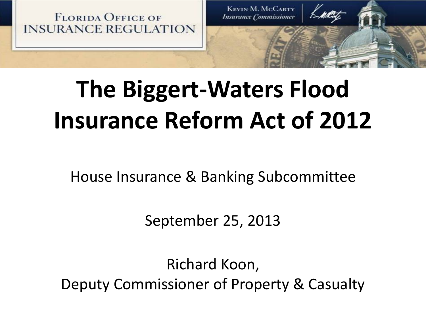

# **The Biggert-Waters Flood Insurance Reform Act of 2012**

House Insurance & Banking Subcommittee

September 25, 2013

Richard Koon, Deputy Commissioner of Property & Casualty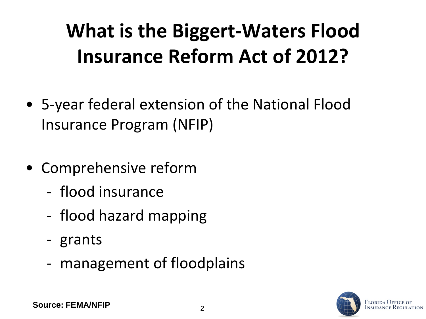## **What is the Biggert-Waters Flood Insurance Reform Act of 2012?**

- 5-year federal extension of the National Flood Insurance Program (NFIP)
- Comprehensive reform
	- flood insurance
	- flood hazard mapping
	- grants
	- management of floodplains

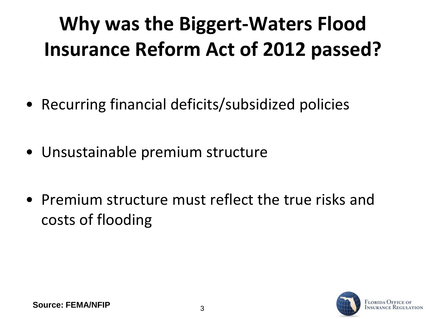## **Why was the Biggert-Waters Flood Insurance Reform Act of 2012 passed?**

- Recurring financial deficits/subsidized policies
- Unsustainable premium structure
- Premium structure must reflect the true risks and costs of flooding

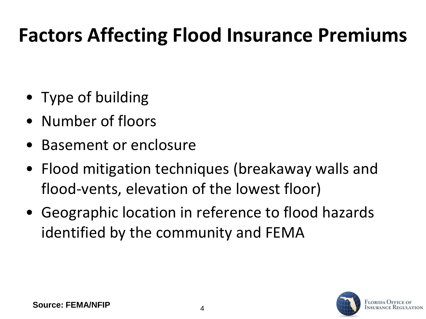### **Factors Affecting Flood Insurance Premiums**

- Type of building
- Number of floors
- Basement or enclosure
- Flood mitigation techniques (breakaway walls and flood-vents, elevation of the lowest floor)
- Geographic location in reference to flood hazards identified by the community and FEMA

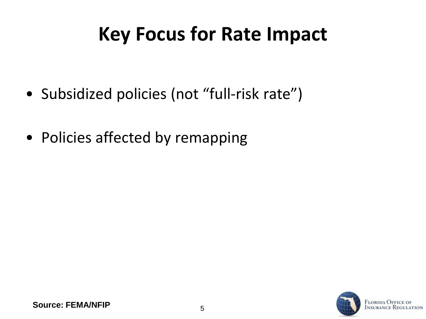### **Key Focus for Rate Impact**

- Subsidized policies (not "full-risk rate")
- Policies affected by remapping

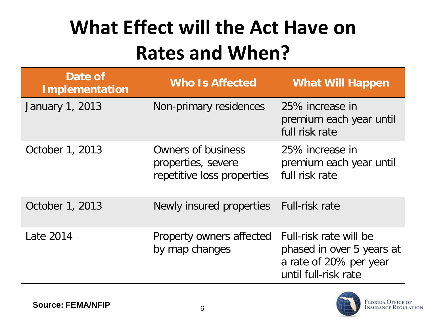## **What Effect will the Act Have on Rates and When?**

| Date of<br><b>Implementation</b> | <b>Who Is Affected</b>                                                 | <b>What Will Happen</b>                                                                               |
|----------------------------------|------------------------------------------------------------------------|-------------------------------------------------------------------------------------------------------|
| January 1, 2013                  | Non-primary residences                                                 | 25% increase in<br>premium each year until<br>full risk rate                                          |
| October 1, 2013                  | Owners of business<br>properties, severe<br>repetitive loss properties | 25% increase in<br>premium each year until<br>full risk rate                                          |
| October 1, 2013                  | Newly insured properties                                               | Full-risk rate                                                                                        |
| Late 2014                        | Property owners affected<br>by map changes                             | Full-risk rate will be<br>phased in over 5 years at<br>a rate of 20% per year<br>until full-risk rate |

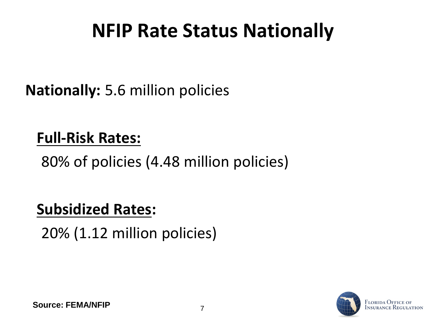### **NFIP Rate Status Nationally**

**Nationally:** 5.6 million policies

#### **Full-Risk Rates:**

80% of policies (4.48 million policies)

#### **Subsidized Rates:**

20% (1.12 million policies)

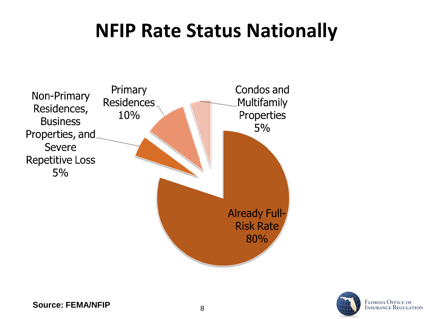### **NFIP Rate Status Nationally**



<sup>8</sup> **Source: FEMA/NFIP**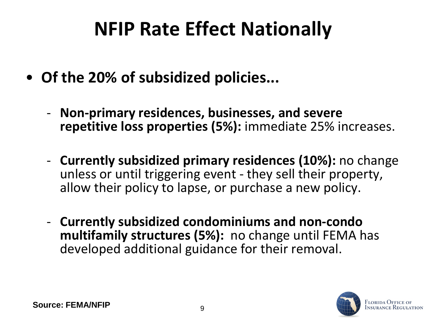### **NFIP Rate Effect Nationally**

- **Of the 20% of subsidized policies...** 
	- **Non-primary residences, businesses, and severe repetitive loss properties (5%):** immediate 25% increases.
	- **Currently subsidized primary residences (10%):** no change unless or until triggering event - they sell their property, allow their policy to lapse, or purchase a new policy.
	- **Currently subsidized condominiums and non-condo multifamily structures (5%):** no change until FEMA has developed additional guidance for their removal.

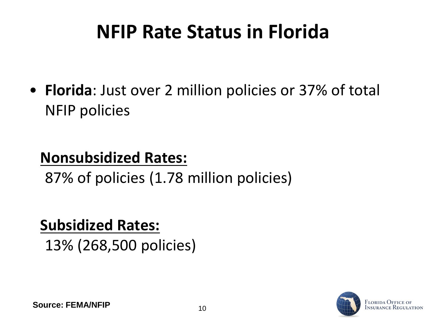### **NFIP Rate Status in Florida**

• **Florida**: Just over 2 million policies or 37% of total NFIP policies

#### **Nonsubsidized Rates:**

87% of policies (1.78 million policies)

#### **Subsidized Rates:**

13% (268,500 policies)

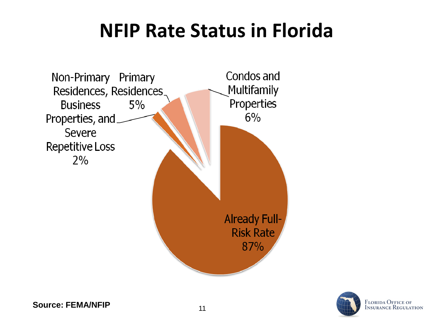### **NFIP Rate Status in Florida**





**Source: FEMA/NFIP** 21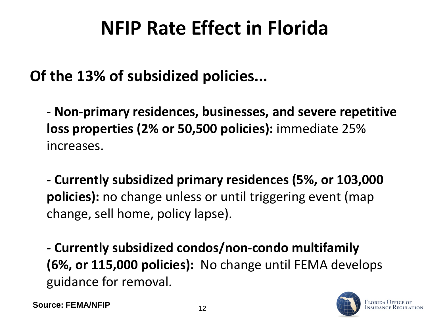### **NFIP Rate Effect in Florida**

#### **Of the 13% of subsidized policies...**

- **Non-primary residences, businesses, and severe repetitive loss properties (2% or 50,500 policies):** immediate 25% increases.

**- Currently subsidized primary residences (5%, or 103,000 policies):** no change unless or until triggering event (map change, sell home, policy lapse).

**- Currently subsidized condos/non-condo multifamily (6%, or 115,000 policies):** No change until FEMA develops guidance for removal.

**Source: FEMA/NFIP** 12

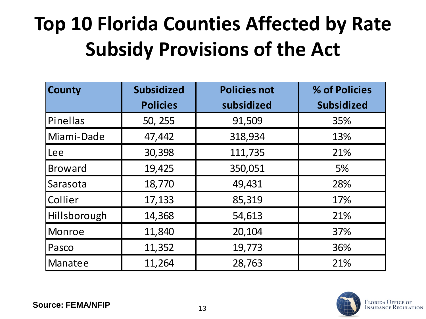## **Top 10 Florida Counties Affected by Rate Subsidy Provisions of the Act**

| <b>County</b>  | <b>Subsidized</b> | <b>Policies not</b> | % of Policies     |
|----------------|-------------------|---------------------|-------------------|
|                | <b>Policies</b>   | subsidized          | <b>Subsidized</b> |
| Pinellas       | 50, 255           | 91,509              | 35%               |
| Miami-Dade     | 47,442            | 318,934             | 13%               |
| Lee            | 30,398            | 111,735             | 21%               |
| <b>Broward</b> | 19,425            | 350,051             | 5%                |
| Sarasota       | 18,770            | 49,431              | 28%               |
| Collier        | 17,133            | 85,319              | 17%               |
| Hillsborough   | 14,368            | 54,613              | 21%               |
| <b>Monroe</b>  | 11,840            | 20,104              | 37%               |
| Pasco          | 11,352            | 19,773              | 36%               |
| Manatee        | 11,264            | 28,763              | 21%               |

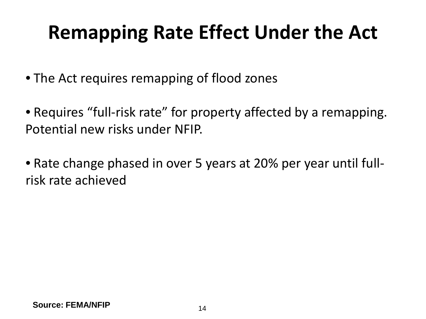### **Remapping Rate Effect Under the Act**

• The Act requires remapping of flood zones

- Requires "full-risk rate" for property affected by a remapping. Potential new risks under NFIP.
- Rate change phased in over 5 years at 20% per year until fullrisk rate achieved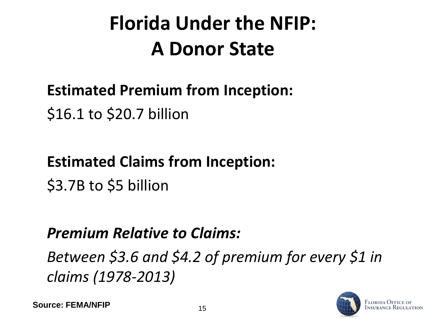## **Florida Under the NFIP: A Donor State**

### **Estimated Premium from Inception:** \$16.1 to \$20.7 billion

## **Estimated Claims from Inception:**

\$3.7B to \$5 billion

### *Premium Relative to Claims:*

*Between \$3.6 and \$4.2 of premium for every \$1 in claims (1978-2013)*

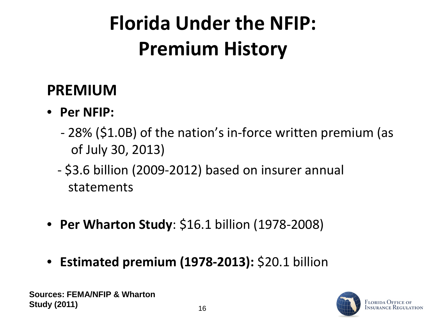## **Florida Under the NFIP: Premium History**

#### **PREMIUM**

- **Per NFIP:**
	- 28% (\$1.0B) of the nation's in-force written premium (as of July 30, 2013)
	- \$3.6 billion (2009-2012) based on insurer annual statements
- **Per Wharton Study**: \$16.1 billion (1978-2008)
- **Estimated premium (1978-2013):** \$20.1 billion

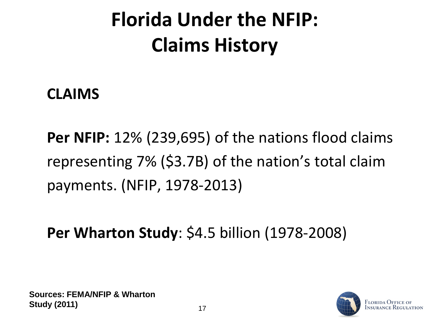## **Florida Under the NFIP: Claims History**

#### **CLAIMS**

**Per NFIP:** 12% (239,695) of the nations flood claims representing 7% (\$3.7B) of the nation's total claim payments. (NFIP, 1978-2013)

**Per Wharton Study**: \$4.5 billion (1978-2008)

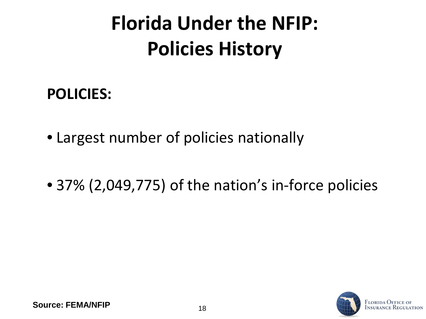## **Florida Under the NFIP: Policies History**

#### **POLICIES:**

- Largest number of policies nationally
- 37% (2,049,775) of the nation's in-force policies

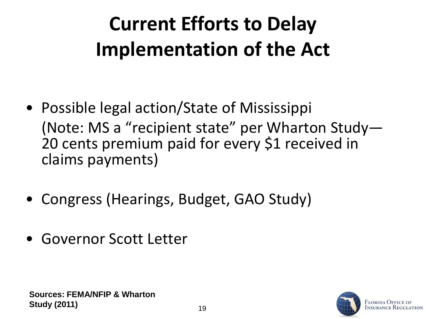## **Current Efforts to Delay Implementation of the Act**

- Possible legal action/State of Mississippi (Note: MS a "recipient state" per Wharton Study— 20 cents premium paid for every \$1 received in claims payments)
- Congress (Hearings, Budget, GAO Study)
- Governor Scott Letter

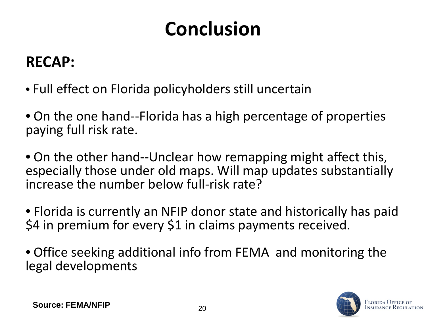## **Conclusion**

### **RECAP:**

- Full effect on Florida policyholders still uncertain
- On the one hand--Florida has a high percentage of properties paying full risk rate.
- On the other hand--Unclear how remapping might affect this, especially those under old maps. Will map updates substantially increase the number below full-risk rate?
- Florida is currently an NFIP donor state and historically has paid \$4 in premium for every \$1 in claims payments received.
- Office seeking additional info from FEMA and monitoring the legal developments